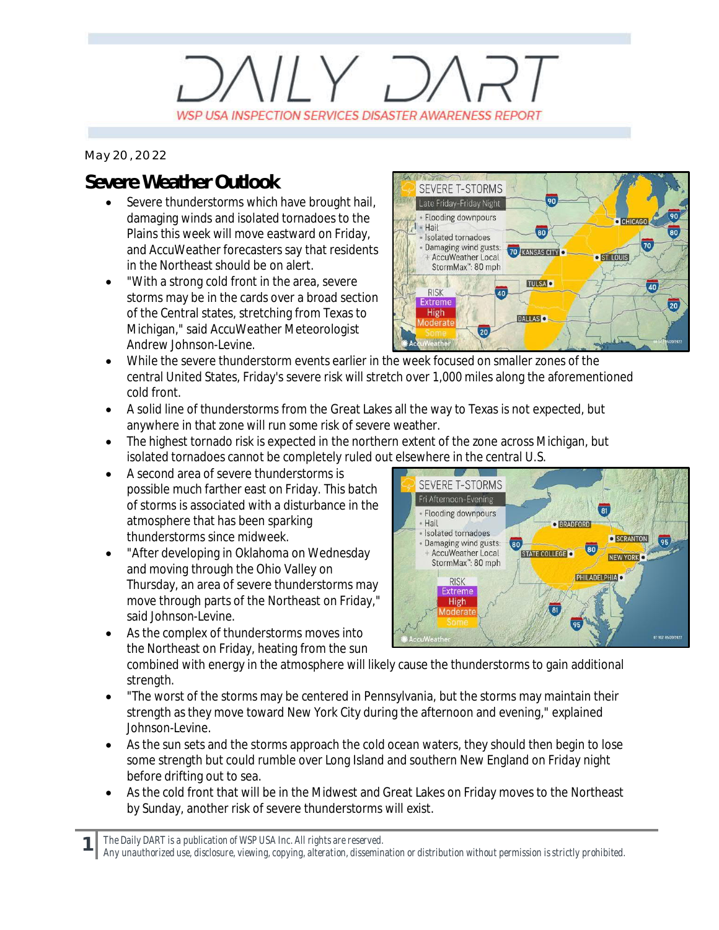# $11Y.$ WSP USA INSPECTION SERVICES DISASTER AWARENESS REPORT

*May 20, 2022*

## **Severe Weather Outlook**

- Severe thunderstorms which have brought hail, damaging winds and isolated tornadoes to the Plains this week will move eastward on Friday, and AccuWeather forecasters say that residents in the Northeast should be on alert.
- · "With a strong cold front in the area, severe storms may be in the cards over a broad section of the Central states, stretching from Texas to Michigan," said AccuWeather Meteorologist Andrew Johnson-Levine.



- · While the severe thunderstorm events earlier in the week focused on smaller zones of the central United States, Friday's severe risk will stretch over 1,000 miles along the aforementioned cold front.
- · A solid line of thunderstorms from the Great Lakes all the way to Texas is not expected, but anywhere in that zone will run some risk of severe weather.
- The highest tornado risk is expected in the northern extent of the zone across Michigan, but isolated tornadoes cannot be completely ruled out elsewhere in the central U.S.
- · A second area of severe thunderstorms is possible much farther east on Friday. This batch of storms is associated with a disturbance in the atmosphere that has been sparking thunderstorms since midweek.
- · "After developing in Oklahoma on Wednesday and moving through the Ohio Valley on Thursday, an area of severe thunderstorms may move through parts of the Northeast on Friday," said Johnson-Levine
- SEVERE T-STORMS Fri Afternoon-Evening  $\overline{81}$ - Flooding downpours · Hail **O** BRADFORD · Isolated tornadoes **O** SCRANTON 95 Damaging wind gusts: 80 AccuWeather Local STATE COLLEGE O NEW YORK StormMax<sup>\*</sup>: 80 mph PHILADELPHIAL **RISK Extreme High**
- As the complex of thunderstorms moves into the Northeast on Friday, heating from the sun

combined with energy in the atmosphere will likely cause the thunderstorms to gain additional strength.

- · "The worst of the storms may be centered in Pennsylvania, but the storms may maintain their strength as they move toward New York City during the afternoon and evening," explained Johnson-Levine.
- As the sun sets and the storms approach the cold ocean waters, they should then begin to lose some strength but could rumble over Long Island and southern New England on Friday night before drifting out to sea.
- · As the cold front that will be in the Midwest and Great Lakes on Friday moves to the Northeast by Sunday, another risk of severe thunderstorms will exist.

*The Daily DART is a publication of WSP USA Inc. All rights are reserved.*

**1**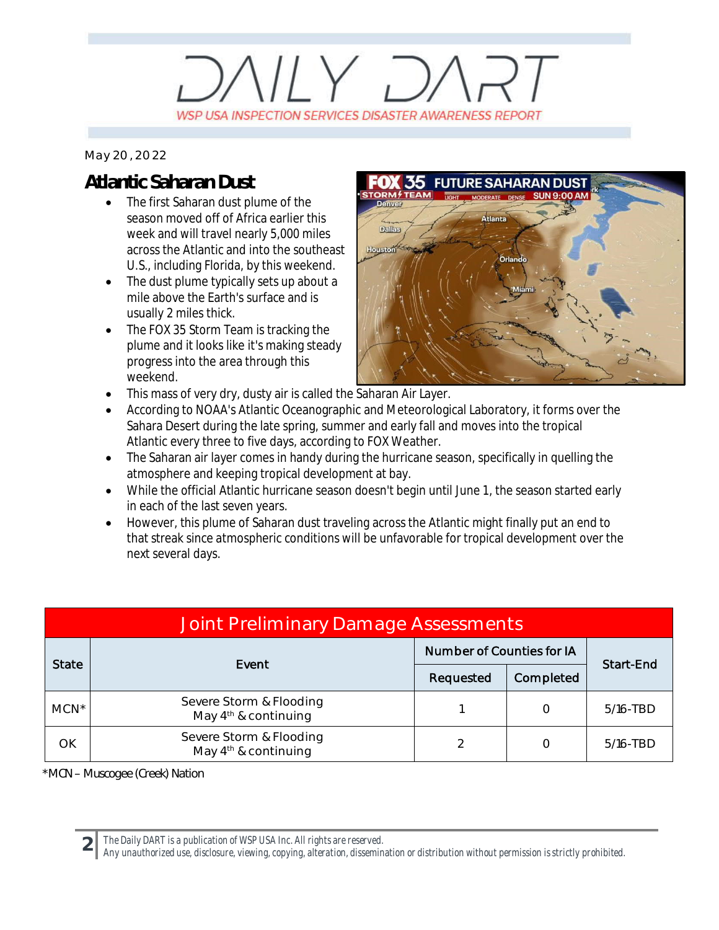# $11Y, 7$ WSP USA INSPECTION SERVICES DISASTER AWARENESS REPORT

#### *May 20, 2022*

## **Atlantic Saharan Dust**

- The first Saharan dust plume of the season moved off of Africa earlier this week and will travel nearly 5,000 miles across the Atlantic and into the southeast U.S., including Florida, by this weekend.
- The dust plume typically sets up about a mile above the Earth's surface and is usually 2 miles thick.
- · The FOX 35 Storm Team is tracking the plume and it looks like it's making steady progress into the area through this weekend.
- **FUTURE SAHARAN DUST Atlanta** Dallas Orl:
- This mass of very dry, dusty air is called the Saharan Air Layer.
- According to NOAA's Atlantic Oceanographic and Meteorological Laboratory, it forms over the Sahara Desert during the late spring, summer and early fall and moves into the tropical Atlantic every three to five days, according to FOX Weather.
- The Saharan air layer comes in handy during the hurricane season, specifically in quelling the atmosphere and keeping tropical development at bay.
- · While the official Atlantic hurricane season doesn't begin until June 1, the season started early in each of the last seven years.
- · However, this plume of Saharan dust traveling across the Atlantic might finally put an end to that streak since atmospheric conditions will be unfavorable for tropical development over the next several days.

| Joint Preliminary Damage Assessments |                                                   |                                  |           |             |  |  |  |
|--------------------------------------|---------------------------------------------------|----------------------------------|-----------|-------------|--|--|--|
| <b>State</b>                         | Event                                             | <b>Number of Counties for IA</b> |           | Start-End   |  |  |  |
|                                      |                                                   | Requested                        | Completed |             |  |  |  |
| $MCN^*$                              | Severe Storm & Flooding<br>May $4th$ & continuing |                                  |           | 5/16-TBD    |  |  |  |
| OK                                   | Severe Storm & Flooding<br>May $4th$ & continuing |                                  |           | $5/16$ -TBD |  |  |  |

*\*MCN – Muscogee (Creek) Nation*

**2** *The Daily DART is a publication of WSP USA Inc. All rights are reserved.*

*Any unauthorized use, disclosure, viewing, copying, alteration, dissemination or distribution without permission is strictly prohibited.*